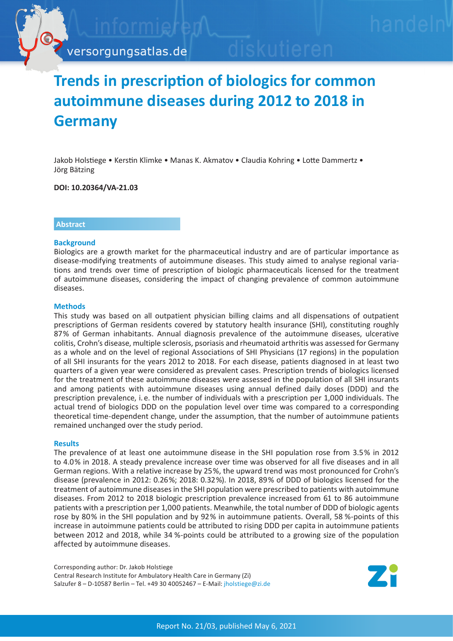

# **Trends in prescription of biologics for common autoimmune diseases during 2012 to 2018 in Germany**

Jakob Holstiege • Kerstin Klimke • Manas K. Akmatov • Claudia Kohring • Lotte Dammertz • Jörg Bätzing

**DOI: 10.20364/VA-21.03**

## **Abstract**

## **Background**

Biologics are a growth market for the pharmaceutical industry and are of particular importance as disease-modifying treatments of autoimmune diseases. This study aimed to analyse regional variations and trends over time of prescription of biologic pharmaceuticals licensed for the treatment of autoimmune diseases, considering the impact of changing prevalence of common autoimmune diseases.

## **Methods**

This study was based on all outpatient physician billing claims and all dispensations of outpatient prescriptions of German residents covered by statutory health insurance (SHI), constituting roughly 87% of German inhabitants. Annual diagnosis prevalence of the autoimmune diseases, ulcerative colitis, Crohn's disease, multiple sclerosis, psoriasis and rheumatoid arthritis was assessed for Germany as a whole and on the level of regional Associations of SHI Physicians (17 regions) in the population of all SHI insurants for the years 2012 to 2018. For each disease, patients diagnosed in at least two quarters of a given year were considered as prevalent cases. Prescription trends of biologics licensed for the treatment of these autoimmune diseases were assessed in the population of all SHI insurants and among patients with autoimmune diseases using annual defined daily doses (DDD) and the prescription prevalence, i. e. the number of individuals with a prescription per 1,000 individuals. The actual trend of biologics DDD on the population level over time was compared to a corresponding theoretical time-dependent change, under the assumption, that the number of autoimmune patients remained unchanged over the study period.

#### **Results**

The prevalence of at least one autoimmune disease in the SHI population rose from 3.5% in 2012 to 4.0% in 2018. A steady prevalence increase over time was observed for all five diseases and in all German regions. With a relative increase by 25%, the upward trend was most pronounced for Crohn's disease (prevalence in 2012: 0.26%; 2018: 0.32%). In 2018, 89% of DDD of biologics licensed for the treatment of autoimmune diseases in the SHI population were prescribed to patients with autoimmune diseases. From 2012 to 2018 biologic prescription prevalence increased from 61 to 86 autoimmune patients with a prescription per 1,000 patients. Meanwhile, the total number of DDD of biologic agents rose by 80% in the SHI population and by 92% in autoimmune patients. Overall, 58 %-points of this increase in autoimmune patients could be attributed to rising DDD per capita in autoimmune patients between 2012 and 2018, while 34 %-points could be attributed to a growing size of the population affected by autoimmune diseases.

Corresponding author: Dr. Jakob Holstiege Central Research Institute for Ambulatory Health Care in Germany (Zi) Salzufer 8 – D-10587 Berlin – Tel. +49 30 40052467 – E-Mail: jholstiege@zi.de